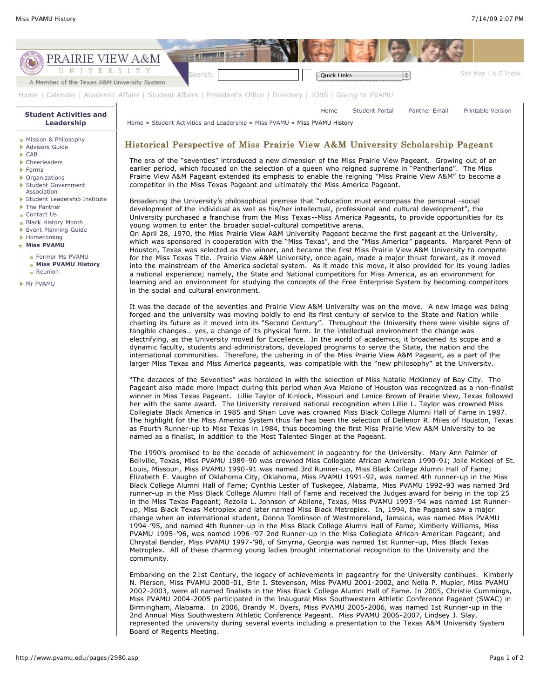

"The decades of the Seventies" was heralded in with the selection of Miss Natalie McKinney of Bay City. The Pageant also made more impact during this period when Ava Malone of Houston was recognized as a non-finalist winner in Miss Texas Pageant. Lillie Taylor of Kinlock, Missouri and Lenice Brown of Prairie View, Texas followed her with the same award. The University received national recognition when Lillie L. Taylor was crowned Miss Collegiate Black America in 1985 and Shari Love was crowned Miss Black College Alumni Hall of Fame in 1987. The highlight for the Miss America System thus far has been the selection of Dellenor R. Miles of Houston, Texas as Fourth Runner-up to Miss Texas in 1984, thus becoming the first Miss Prairie View A&M University to be named as a finalist, in addition to the Most Talented Singer at the Pageant.

The 1990's promised to be the decade of achievement in pageantry for the University. Mary Ann Palmer of Bellville, Texas, Miss PVAMU 1989-90 was crowned Miss Collegiate African American 1990-91; Jolie McKeel of St. Louis, Missouri, Miss PVAMU 1990-91 was named 3rd Runner-up, Miss Black College Alumni Hall of Fame; Elizabeth E. Vaughn of Oklahoma City, Oklahoma, Miss PVAMU 1991-92, was named 4th runner-up in the Miss Black College Alumni Hall of Fame; Cynthia Lester of Tuskegee, Alabama, Miss PVAMU 1992-93 was named 3rd runner-up in the Miss Black College Alumni Hall of Fame and received the Judges award for being in the top 25 in the Miss Texas Pageant; Rezolia L. Johnson of Abilene, Texas, Miss PVAMU 1993-'94 was named 1st Runnerup, Miss Black Texas Metroplex and later named Miss Black Metroplex. In, 1994, the Pageant saw a major change when an international student, Donna Tomlinson of Westmoreland, Jamaica, was named Miss PVAMU 1994-'95, and named 4th Runner-up in the Miss Black College Alumni Hall of Fame; Kimberly Williams, Miss PVAMU 1995-'96, was named 1996-'97 2nd Runner-up in the Miss Collegiate African-American Pageant; and Chrystal Bender, Miss PVAMU 1997-'98, of Smyrna, Georgia was named 1st Runner-up, Miss Black Texas Metroplex. All of these charming young ladies brought international recognition to the University and the community.

Embarking on the 21st Century, the legacy of achievements in pageantry for the University continues. Kimberly N. Pierson, Miss PVAMU 2000-01, Erin I. Stevenson, Miss PVAMU 2001-2002, and Nella P. Mupier, Miss PVAMU 2002-2003, were all named finalists in the Miss Black College Alumni Hall of Fame. In 2005, Christie Cummings, Miss PVAMU 2004-2005 participated in the Inaugural Miss Southwestern Athletic Conference Pageant (SWAC) in Birmingham, Alabama. In 2006, Brandy M. Byers, Miss PVAMU 2005-2006, was named 1st Runner-up in the 2nd Annual Miss Southwestern Athletic Conference Pageant. Miss PVAMU 2006-2007, Lindsey J. Slay, represented the university during several events including a presentation to the Texas A&M University System Board of Regents Meeting.